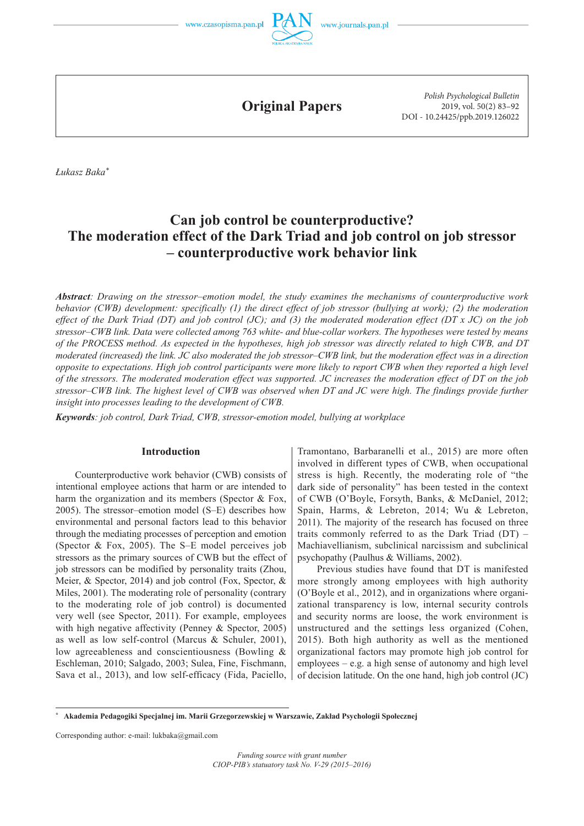



**Original Papers**

*Polish Psychological Bulletin* 2019, vol. 50(2) 83–92 DOI - 10.24425/ppb.2019.126022

*Łukasz Baka\**

# **Can job control be counterproductive? The moderation effect of the Dark Triad and job control on job stressor – counterproductive work behavior link**

*Abstract: Drawing on the stressor–emotion model, the study examines the mechanisms of counterproductive work behavior (CWB) development: specifically (1) the direct effect of job stressor (bullying at work); (2) the moderation effect of the Dark Triad (DT) and job control (JC); and (3) the moderated moderation effect (DT x JC) on the job stressor–CWB link. Data were collected among 763 white- and blue-collar workers. The hypotheses were tested by means of the PROCESS method. As expected in the hypotheses, high job stressor was directly related to high CWB, and DT moderated (increased) the link. JC also moderated the job stressor–CWB link, but the moderation effect was in a direction opposite to expectations. High job control participants were more likely to report CWB when they reported a high level of the stressors. The moderated moderation effect was supported. JC increases the moderation effect of DT on the job stressor–CWB link. The highest level of CWB was observed when DT and JC were high. The findings provide further insight into processes leading to the development of CWB.*

*Keywords: job control, Dark Triad, CWB, stressor-emotion model, bullying at workplace*

# **Introduction**

Counterproductive work behavior (CWB) consists of intentional employee actions that harm or are intended to harm the organization and its members (Spector & Fox, 2005). The stressor–emotion model (S–E) describes how environmental and personal factors lead to this behavior through the mediating processes of perception and emotion (Spector & Fox, 2005). The S–E model perceives job stressors as the primary sources of CWB but the effect of job stressors can be modified by personality traits (Zhou, Meier, & Spector, 2014) and job control (Fox, Spector, & Miles, 2001). The moderating role of personality (contrary to the moderating role of job control) is documented very well (see Spector, 2011). For example, employees with high negative affectivity (Penney & Spector, 2005) as well as low self-control (Marcus & Schuler, 2001), low agreeableness and conscientiousness (Bowling & Eschleman, 2010; Salgado, 2003; Sulea, Fine, Fischmann, Sava et al., 2013), and low self-efficacy (Fida, Paciello,

Tramontano, Barbaranelli et al., 2015) are more often involved in different types of CWB, when occupational stress is high. Recently, the moderating role of "the dark side of personality" has been tested in the context of CWB (O'Boyle, Forsyth, Banks, & McDaniel, 2012; Spain, Harms, & Lebreton, 2014; Wu & Lebreton, 2011). The majority of the research has focused on three traits commonly referred to as the Dark Triad (DT) – Machiavellianism, subclinical narcissism and subclinical psychopathy (Paulhus & Williams, 2002).

Previous studies have found that DT is manifested more strongly among employees with high authority (O'Boyle et al., 2012), and in organizations where organizational transparency is low, internal security controls and security norms are loose, the work environment is unstructured and the settings less organized (Cohen, 2015). Both high authority as well as the mentioned organizational factors may promote high job control for employees – e.g. a high sense of autonomy and high level of decision latitude. On the one hand, high job control (JC)

Corresponding author: e-mail: lukbaka@gmail.com

**<sup>\*</sup> Akademia Pedagogiki Specjalnej im. Marii Grzegorzewskiej w Warszawie, Zakład Psychologii Społecznej**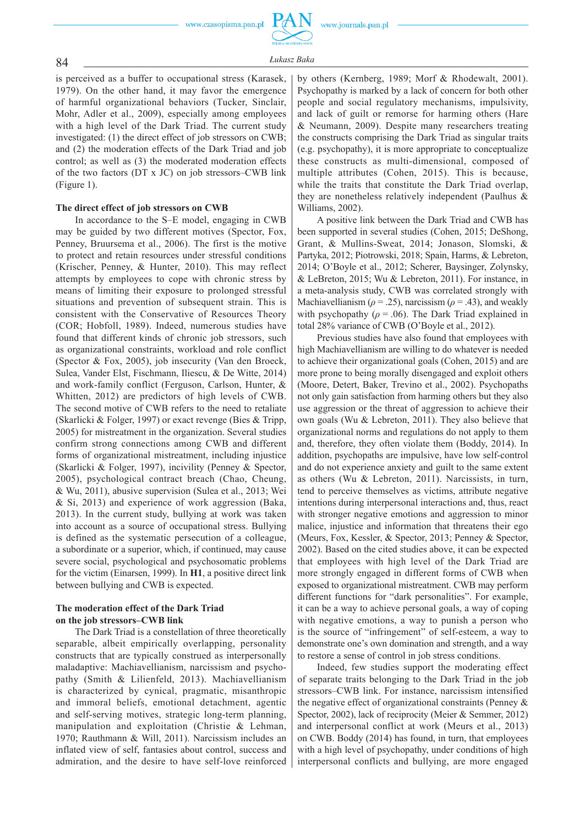

84 *<sup>Ł</sup>ukasz Baka*

is perceived as a buffer to occupational stress (Karasek, 1979). On the other hand, it may favor the emergence of harmful organizational behaviors (Tucker, Sinclair, Mohr, Adler et al., 2009), especially among employees with a high level of the Dark Triad. The current study investigated: (1) the direct effect of job stressors on CWB; and (2) the moderation effects of the Dark Triad and job control; as well as (3) the moderated moderation effects of the two factors (DT x JC) on job stressors–CWB link (Figure 1).

#### **The direct effect of job stressors on CWB**

In accordance to the S–E model, engaging in CWB may be guided by two different motives (Spector, Fox, Penney, Bruursema et al., 2006). The first is the motive to protect and retain resources under stressful conditions (Krischer, Penney, & Hunter, 2010). This may reflect attempts by employees to cope with chronic stress by means of limiting their exposure to prolonged stressful situations and prevention of subsequent strain. This is consistent with the Conservative of Resources Theory (COR; Hobfoll, 1989). Indeed, numerous studies have found that different kinds of chronic job stressors, such as organizational constraints, workload and role conflict (Spector & Fox, 2005), job insecurity (Van den Broeck, Sulea, Vander Elst, Fischmann, Iliescu, & De Witte, 2014) and work -family conflict (Ferguson, Carlson, Hunter, & Whitten, 2012) are predictors of high levels of CWB. The second motive of CWB refers to the need to retaliate (Skarlicki & Folger, 1997) or exact revenge (Bies & Tripp, 2005) for mistreatment in the organization. Several studies confirm strong connections among CWB and different forms of organizational mistreatment, including injustice (Skarlicki & Folger, 1997), incivility (Penney & Spector, 2005), psychological contract breach (Chao, Cheung, & Wu, 2011), abusive supervision (Sulea et al., 2013; Wei & Si, 2013) and experience of work aggression (Baka, 2013). In the current study, bullying at work was taken into account as a source of occupational stress. Bullying is defined as the systematic persecution of a colleague, a subordinate or a superior, which, if continued, may cause severe social, psychological and psychosomatic problems for the victim (Einarsen, 1999). In **H1**, a positive direct link between bullying and CWB is expected.

# **The moderation effect of the Dark Triad on the job stressors–CWB link**

The Dark Triad is a constellation of three theoretically separable, albeit empirically overlapping, personality constructs that are typically construed as interpersonally maladaptive: Machiavellianism, narcissism and psychopathy (Smith & Lilienfeld, 2013). Machiavellianism is characterized by cynical, pragmatic, misanthropic and immoral beliefs, emotional detachment, agentic and self-serving motives, strategic long-term planning, manipulation and exploitation (Christie & Lehman, 1970; Rauthmann & Will, 2011). Narcissism includes an inflated view of self, fantasies about control, success and admiration, and the desire to have self-love reinforced

by others (Kernberg, 1989; Morf & Rhodewalt, 2001). Psychopathy is marked by a lack of concern for both other people and social regulatory mechanisms, impulsivity, and lack of guilt or remorse for harming others (Hare & Neumann, 2009). Despite many researchers treating the constructs comprising the Dark Triad as singular traits (e.g. psychopathy), it is more appropriate to conceptualize these constructs as multi -dimensional, composed of multiple attributes (Cohen, 2015). This is because, while the traits that constitute the Dark Triad overlap, they are nonetheless relatively independent (Paulhus & Williams, 2002).

A positive link between the Dark Triad and CWB has been supported in several studies (Cohen, 2015; DeShong, Grant, & Mullins -Sweat, 2014; Jonason, Slomski, & Partyka, 2012; Piotrowski, 2018; Spain, Harms, & Lebreton, 2014; O'Boyle et al., 2012; Scherer, Baysinger, Zolynsky, & LeBreton, 2015; Wu & Lebreton, 2011). For instance, in a meta -analysis study, CWB was correlated strongly with Machiavellianism ( $\rho$  = .25), narcissism ( $\rho$  = .43), and weakly with psychopathy ( $\rho$  = .06). The Dark Triad explained in total 28% variance of CWB (O'Boyle et al., 2012).

Previous studies have also found that employees with high Machiavellianism are willing to do whatever is needed to achieve their organizational goals (Cohen, 2015) and are more prone to being morally disengaged and exploit others (Moore, Detert, Baker, Trevino et al., 2002). Psychopaths not only gain satisfaction from harming others but they also use aggression or the threat of aggression to achieve their own goals (Wu & Lebreton, 2011). They also believe that organizational norms and regulations do not apply to them and, therefore, they often violate them (Boddy, 2014). In addition, psychopaths are impulsive, have low self -control and do not experience anxiety and guilt to the same extent as others (Wu & Lebreton, 2011). Narcissists, in turn, tend to perceive themselves as victims, attribute negative intentions during interpersonal interactions and, thus, react with stronger negative emotions and aggression to minor malice, injustice and information that threatens their ego (Meurs, Fox, Kessler, & Spector, 2013; Penney & Spector, 2002). Based on the cited studies above, it can be expected that employees with high level of the Dark Triad are more strongly engaged in different forms of CWB when exposed to organizational mistreatment. CWB may perform different functions for "dark personalities". For example, it can be a way to achieve personal goals, a way of coping with negative emotions, a way to punish a person who is the source of "infringement" of self -esteem, a way to demonstrate one's own domination and strength, and a way to restore a sense of control in job stress conditions.

Indeed, few studies support the moderating effect of separate traits belonging to the Dark Triad in the job stressors–CWB link. For instance, narcissism intensified the negative effect of organizational constraints (Penney & Spector, 2002), lack of reciprocity (Meier & Semmer, 2012) and interpersonal conflict at work (Meurs et al., 2013) on CWB. Boddy (2014) has found, in turn, that employees with a high level of psychopathy, under conditions of high interpersonal conflicts and bullying, are more engaged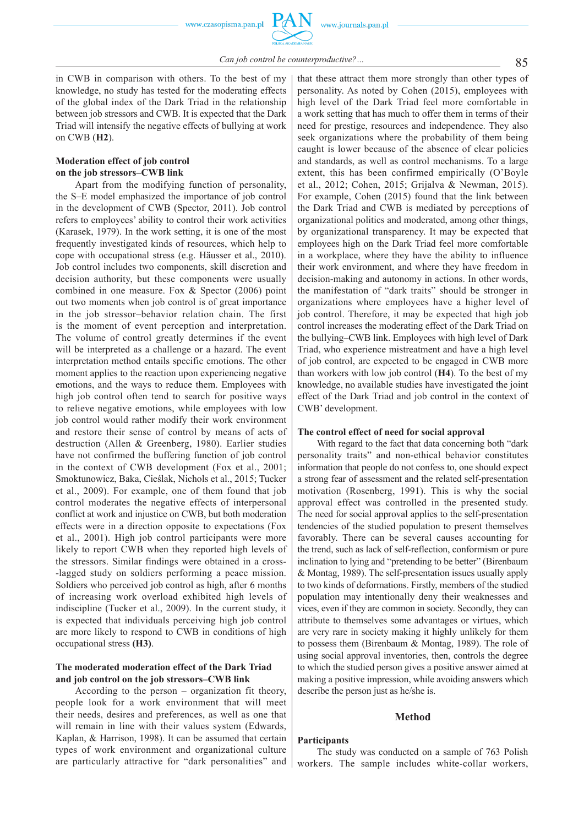in CWB in comparison with others. To the best of my knowledge, no study has tested for the moderating effects of the global index of the Dark Triad in the relationship between job stressors and CWB. It is expected that the Dark Triad will intensify the negative effects of bullying at work on CWB (**H2**).

# **Moderation effect of job control on the job stressors–CWB link**

Apart from the modifying function of personality, the S–E model emphasized the importance of job control in the development of CWB (Spector, 2011). Job control refers to employees' ability to control their work activities (Karasek, 1979). In the work setting, it is one of the most frequently investigated kinds of resources, which help to cope with occupational stress (e.g. Häusser et al., 2010). Job control includes two components, skill discretion and decision authority, but these components were usually combined in one measure. Fox & Spector (2006) point out two moments when job control is of great importance in the job stressor–behavior relation chain. The first is the moment of event perception and interpretation. The volume of control greatly determines if the event will be interpreted as a challenge or a hazard. The event interpretation method entails specific emotions. The other moment applies to the reaction upon experiencing negative emotions, and the ways to reduce them. Employees with high job control often tend to search for positive ways to relieve negative emotions, while employees with low job control would rather modify their work environment and restore their sense of control by means of acts of destruction (Allen & Greenberg, 1980). Earlier studies have not confirmed the buffering function of job control in the context of CWB development (Fox et al., 2001; Smoktunowicz, Baka, Cieślak, Nichols et al., 2015; Tucker et al., 2009). For example, one of them found that job control moderates the negative effects of interpersonal conflict at work and injustice on CWB, but both moderation effects were in a direction opposite to expectations (Fox et al., 2001). High job control participants were more likely to report CWB when they reported high levels of the stressors. Similar findings were obtained in a cross- -lagged study on soldiers performing a peace mission. Soldiers who perceived job control as high, after 6 months of increasing work overload exhibited high levels of indiscipline (Tucker et al., 2009). In the current study, it is expected that individuals perceiving high job control are more likely to respond to CWB in conditions of high occupational stress **(H3)**.

# **The moderated moderation effect of the Dark Triad and job control on the job stressors–CWB link**

According to the person – organization fit theory, people look for a work environment that will meet their needs, desires and preferences, as well as one that will remain in line with their values system (Edwards, Kaplan, & Harrison, 1998). It can be assumed that certain types of work environment and organizational culture are particularly attractive for "dark personalities" and that these attract them more strongly than other types of personality. As noted by Cohen (2015), employees with high level of the Dark Triad feel more comfortable in a work setting that has much to offer them in terms of their need for prestige, resources and independence. They also seek organizations where the probability of them being caught is lower because of the absence of clear policies and standards, as well as control mechanisms. To a large extent, this has been confirmed empirically (O'Boyle et al., 2012; Cohen, 2015; Grijalva & Newman, 2015). For example, Cohen (2015) found that the link between the Dark Triad and CWB is mediated by perceptions of organizational politics and moderated, among other things, by organizational transparency. It may be expected that employees high on the Dark Triad feel more comfortable in a workplace, where they have the ability to influence their work environment, and where they have freedom in decision-making and autonomy in actions. In other words, the manifestation of "dark traits" should be stronger in organizations where employees have a higher level of job control. Therefore, it may be expected that high job control increases the moderating effect of the Dark Triad on the bullying–CWB link. Employees with high level of Dark Triad, who experience mistreatment and have a high level of job control, are expected to be engaged in CWB more than workers with low job control (**H4**). To the best of my knowledge, no available studies have investigated the joint effect of the Dark Triad and job control in the context of CWB' development.

#### **The control effect of need for social approval**

With regard to the fact that data concerning both "dark personality traits" and non -ethical behavior constitutes information that people do not confess to, one should expect a strong fear of assessment and the related self-presentation motivation (Rosenberg, 1991). This is why the social approval effect was controlled in the presented study. The need for social approval applies to the self-presentation tendencies of the studied population to present themselves favorably. There can be several causes accounting for the trend, such as lack of self -reflection, conformism or pure inclination to lying and "pretending to be better" (Birenbaum & Montag, 1989). The self -presentation issues usually apply to two kinds of deformations. Firstly, members of the studied population may intentionally deny their weaknesses and vices, even if they are common in society. Secondly, they can attribute to themselves some advantages or virtues, which are very rare in society making it highly unlikely for them to possess them (Birenbaum & Montag, 1989). The role of using social approval inventories, then, controls the degree to which the studied person gives a positive answer aimed at making a positive impression, while avoiding answers which describe the person just as he/she is.

#### **Method**

# **Participants**

The study was conducted on a sample of 763 Polish workers. The sample includes white -collar workers,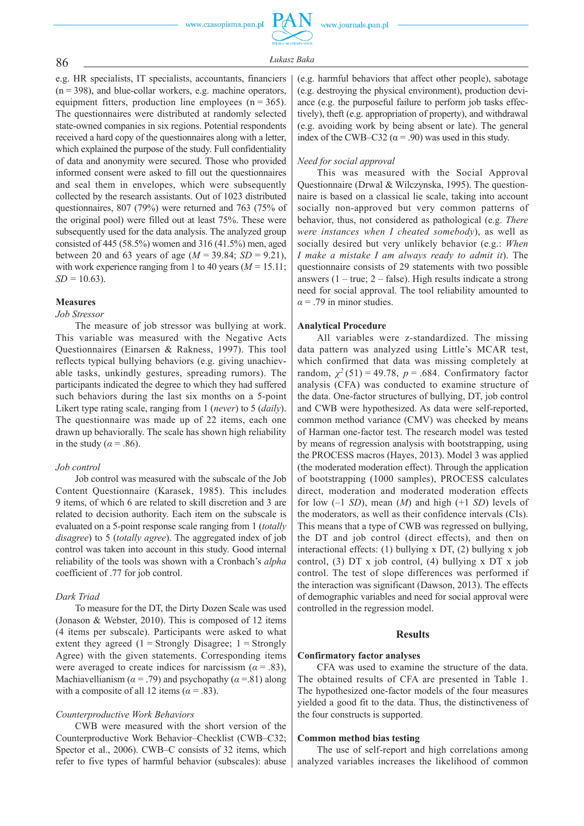86 *<sup>Ł</sup>ukasz Baka*

e.g. HR specialists, IT specialists, accountants, financiers  $(n = 398)$ , and blue-collar workers, e.g. machine operators, equipment fitters, production line employees ( $n = 365$ ). The questionnaires were distributed at randomly selected state -owned companies in six regions. Potential respondents received a hard copy of the questionnaires along with a letter, which explained the purpose of the study. Full confidentiality of data and anonymity were secured. Those who provided informed consent were asked to fill out the questionnaires and seal them in envelopes, which were subsequently collected by the research assistants. Out of 1023 distributed questionnaires, 807 (79%) were returned and 763 (75% of the original pool) were filled out at least 75%. These were subsequently used for the data analysis. The analyzed group consisted of 445 (58.5%) women and 316 (41.5%) men, aged between 20 and 63 years of age (*M =* 39.84; *SD =* 9.21), with work experience ranging from 1 to 40 years (*M =* 15.11; *SD =* 10.63).

# **Measures**

#### *Job Stressor*

The measure of job stressor was bullying at work. This variable was measured with the Negative Acts Questionnaires (Einarsen & Rakness, 1997). This tool reflects typical bullying behaviors (e.g. giving unachievable tasks, unkindly gestures, spreading rumors). The participants indicated the degree to which they had suffered such behaviors during the last six months on a 5-point Likert type rating scale, ranging from 1 (*never*) to 5 (*daily*). The questionnaire was made up of 22 items, each one drawn up behaviorally. The scale has shown high reliability in the study ( $\alpha$  = .86).

# *Job control*

Job control was measured with the subscale of the Job Content Questionnaire (Karasek, 1985). This includes 9 items, of which 6 are related to skill discretion and 3 are related to decision authority. Each item on the subscale is evaluated on a 5-point response scale ranging from 1 (*totally disagree*) to 5 (*totally agree*). The aggregated index of job control was taken into account in this study. Good internal reliability of the tools was shown with a Cronbach's *alpha* coefficient of .77 for job control.

#### *Dark Triad*

To measure for the DT, the Dirty Dozen Scale was used (Jonason & Webster, 2010). This is composed of 12 items (4 items per subscale). Participants were asked to what extent they agreed  $(1 =$  Strongly Disagree;  $1 =$  Strongly Agree) with the given statements. Corresponding items were averaged to create indices for narcissism ( $\alpha$  = .83), Machiavellianism ( $\alpha$  = .79) and psychopathy ( $\alpha$  = .81) along with a composite of all 12 items ( $\alpha$  = .83).

# *Counterproductive Work Behaviors*

CWB were measured with the short version of the Counterproductive Work Behavior–Checklist (CWB–C32; Spector et al., 2006). CWB–C consists of 32 items, which refer to five types of harmful behavior (subscales): abuse (e.g. harmful behaviors that affect other people), sabotage (e.g. destroying the physical environment), production deviance (e.g. the purposeful failure to perform job tasks effectively), theft (e.g. appropriation of property), and withdrawal (e.g. avoiding work by being absent or late). The general index of the CWB–C32 ( $\alpha$  = .90) was used in this study.

#### *Need for social approval*

This was measured with the Social Approval Questionnaire (Drwal & Wilczynska, 1995). The questionnaire is based on a classical lie scale, taking into account socially non-approved but very common patterns of behavior, thus, not considered as pathological (e.g. *There were instances when I cheated somebody*), as well as socially desired but very unlikely behavior (e.g.: *When I make a mistake I am always ready to admit it*). The questionnaire consists of 29 statements with two possible answers  $(1 - true; 2 - false)$ . High results indicate a strong need for social approval. The tool reliability amounted to  $\alpha$  = .79 in minor studies.

#### **Analytical Procedure**

All variables were z-standardized. The missing data pattern was analyzed using Little's MCAR test, which confirmed that data was missing completely at random,  $\chi^2$  (51) = 49.78,  $p = .684$ . Confirmatory factor analysis (CFA) was conducted to examine structure of the data. One-factor structures of bullying, DT, job control and CWB were hypothesized. As data were self-reported, common method variance (CMV) was checked by means of Harman one-factor test. The research model was tested by means of regression analysis with bootstrapping, using the PROCESS macros (Hayes, 2013). Model 3 was applied (the moderated moderation effect). Through the application of bootstrapping (1000 samples), PROCESS calculates direct, moderation and moderated moderation effects for low (–1 *SD*), mean (*M*) and high (+1 *SD*) levels of the moderators, as well as their confidence intervals (CIs). This means that a type of CWB was regressed on bullying, the DT and job control (direct effects), and then on interactional effects: (1) bullying x DT, (2) bullying x job control, (3) DT x job control, (4) bullying x DT x job control. The test of slope differences was performed if the interaction was significant (Dawson, 2013). The effects of demographic variables and need for social approval were controlled in the regression model.

#### **Results**

#### **Confirmatory factor analyses**

CFA was used to examine the structure of the data. The obtained results of CFA are presented in Table 1. The hypothesized one-factor models of the four measures yielded a good fit to the data. Thus, the distinctiveness of the four constructs is supported.

#### **Common method bias testing**

The use of self-report and high correlations among analyzed variables increases the likelihood of common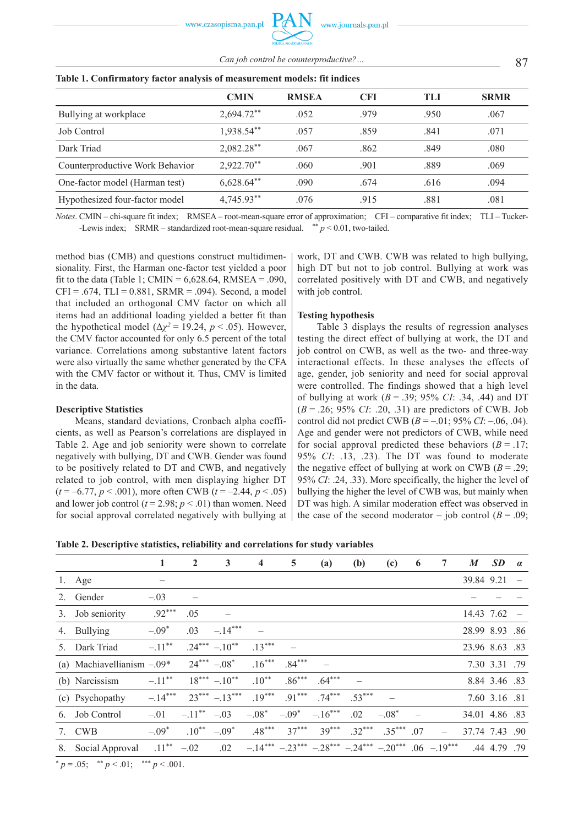87 *Can job control be counterproductive?…*

|                                 | <b>CMIN</b>  | <b>RMSEA</b> | <b>CFI</b> | TLI  | <b>SRMR</b> |  |  |
|---------------------------------|--------------|--------------|------------|------|-------------|--|--|
| Bullying at workplace           | $2,694.72**$ | .052         | .979       | .950 | .067        |  |  |
| Job Control                     | 1,938.54**   | .057         | .859       | .841 | .071        |  |  |
| Dark Triad                      | $2,082.28**$ | .067         | .862       | .849 | .080        |  |  |
| Counterproductive Work Behavior | $2,922.70**$ | .060         | .901       | .889 | .069        |  |  |
| One-factor model (Harman test)  | $6,628.64**$ | .090         | .674       | .616 | .094        |  |  |
| Hypothesized four-factor model  | 4,745.93**   | .076         | .915       | .881 | .081        |  |  |

# **Table 1. Confirmatory factor analysis of measurement models: fit indices**

*Notes*. CMIN – chi-square fit index; RMSEA – root-mean-square error of approximation; CFI – comparative fit index; TLI – Tucker- -Lewis index; SRMR – standardized root-mean-square residual.  $* p < 0.01$ , two-tailed.

method bias (CMB) and questions construct multidimensionality. First, the Harman one-factor test yielded a poor fit to the data (Table 1; CMIN =  $6,628.64$ , RMSEA = .090,  $CFI = .674$ ,  $TLI = 0.881$ ,  $SRMR = .094$ ). Second, a model that included an orthogonal CMV factor on which all items had an additional loading yielded a better fit than the hypothetical model ( $\Delta \chi^2 = 19.24$ ,  $p < .05$ ). However, the CMV factor accounted for only 6.5 percent of the total variance. Correlations among substantive latent factors were also virtually the same whether generated by the CFA with the CMV factor or without it. Thus, CMV is limited in the data.

#### **Descriptive Statistics**

Means, standard deviations, Cronbach alpha coefficients, as well as Pearson's correlations are displayed in Table 2. Age and job seniority were shown to correlate negatively with bullying, DT and CWB. Gender was found to be positively related to DT and CWB, and negatively related to job control, with men displaying higher DT  $(t = -6.77, p < .001)$ , more often CWB  $(t = -2.44, p < .05)$ and lower job control ( $t = 2.98$ ;  $p < .01$ ) than women. Need for social approval correlated negatively with bullying at work, DT and CWB. CWB was related to high bullying, high DT but not to job control. Bullying at work was correlated positively with DT and CWB, and negatively with job control.

# **Testing hypothesis**

Table 3 displays the results of regression analyses testing the direct effect of bullying at work, the DT and job control on CWB, as well as the two- and three-way interactional effects. In these analyses the effects of age, gender, job seniority and need for social approval were controlled. The findings showed that a high level of bullying at work (*B* = .39; 95% *CI*: .34, .44) and DT (*B* = .26; 95% *CI*: .20, .31) are predictors of CWB. Job control did not predict CWB (*B* = –.01; 95% *CI*: –.06, .04). Age and gender were not predictors of CWB, while need for social approval predicted these behaviors  $(B = .17)$ ; 95% *CI*: .13, .23). The DT was found to moderate the negative effect of bullying at work on CWB  $(B = .29)$ ; 95% *CI*: .24, .33). More specifically, the higher the level of bullying the higher the level of CWB was, but mainly when DT was high. A similar moderation effect was observed in the case of the second moderator – job control  $(B = .09)$ ;

| Table 2. Descriptive statistics, reliability and correlations for study variables |  |  |  |  |  |  |  |
|-----------------------------------------------------------------------------------|--|--|--|--|--|--|--|
|-----------------------------------------------------------------------------------|--|--|--|--|--|--|--|

|    |                                                                                                            | 1         | $\overline{2}$ | $\mathbf{3}$     | 4        | 5        | (a)                                                        | (b)      | (c)      | 6   | 7 | M              | <b>SD</b>     | $\alpha$ |
|----|------------------------------------------------------------------------------------------------------------|-----------|----------------|------------------|----------|----------|------------------------------------------------------------|----------|----------|-----|---|----------------|---------------|----------|
|    | 1. Age                                                                                                     |           |                |                  |          |          |                                                            |          |          |     |   | 39.84 9.21     |               |          |
|    | 2. Gender                                                                                                  | $-.03$    |                |                  |          |          |                                                            |          |          |     |   |                |               |          |
| 3. | Job seniority                                                                                              | $.92***$  | .05            |                  |          |          |                                                            |          |          |     |   | 14.43 7.62     |               |          |
|    | 4. Bullying                                                                                                | $-.09*$   | .03            | $-.14***$        |          |          |                                                            |          |          |     |   | 28.99 8.93 .86 |               |          |
| 5. | Dark Triad                                                                                                 | $-.11***$ |                | $.24*** - .10**$ | $.13***$ |          |                                                            |          |          |     |   | 23.96 8.63 .83 |               |          |
|    | (a) Machiavellianism $-.09*$                                                                               |           |                | $24*** -08*$     | $.16***$ | $.84***$ |                                                            |          |          |     |   |                | 7.30 3.31 .79 |          |
|    | (b) Narcissism                                                                                             | $-.11***$ |                | $18*** -10**$    | $.10**$  | $.86***$ | $.64***$                                                   |          |          |     |   |                | 8.84 3.46 .83 |          |
|    | (c) Psychopathy                                                                                            | $-.14***$ |                | $23***-13***$    | $.19***$ | $.91***$ | $.74***$                                                   | $.53***$ |          |     |   |                | 7.60 3.16 .81 |          |
| 6. | Job Control                                                                                                | $-.01$    | $-.11***$      | $-.03$           | $-.08*$  | $-.09*$  | $-.16***$                                                  | .02      | $-.08*$  |     |   | 34.01 4.86 .83 |               |          |
|    | 7. CWB                                                                                                     | $-.09*$   | $.10***$       | $-.09*$          | $.48***$ | $37***$  | $39***$                                                    | $.32***$ | $.35***$ | .07 |   | 37.74 7.43 .90 |               |          |
| 8. | Social Approval                                                                                            | $.11***$  | $-.02$         | .02              |          |          | $-14***$ $-23***$ $-28***$ $-24***$ $-20***$ $06$ $-19***$ |          |          |     |   |                | .44 4.79 .79  |          |
|    | * $0.55 - \frac{1}{2}$ $0.45 - \frac{1}{2}$ $0.45 - \frac{1}{2}$ $0.64 - \frac{1}{2}$ $0.64 - \frac{1}{2}$ |           |                |                  |          |          |                                                            |          |          |     |   |                |               |          |

 $p = .05$ ; \*\*  $p < .01$ ; \*\*\*  $p < .001$ .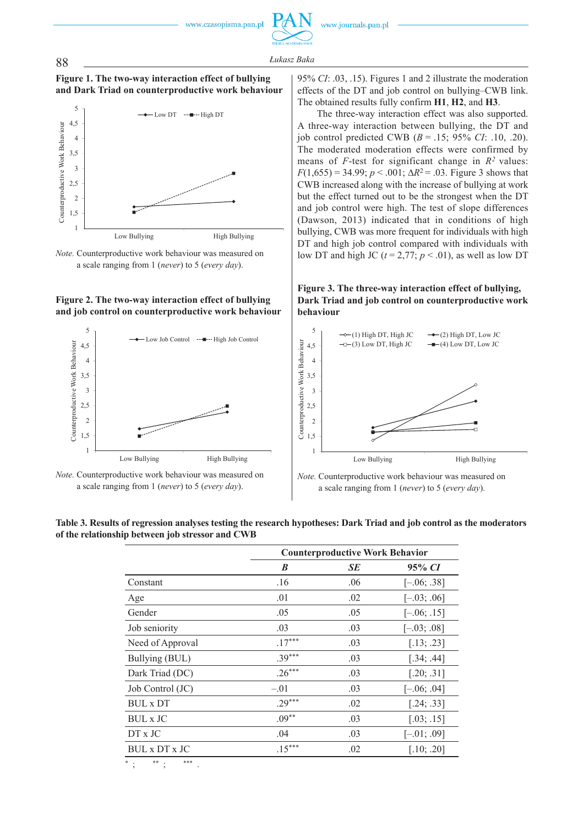











*Note.* Counterproductive work behaviour was measured on a scale ranging from 1 (*never*) to 5 (*every day*).

95% *CI*: .03, .15). Figures 1 and 2 illustrate the moderation effects of the DT and job control on bullying–CWB link. The obtained results fully confirm **H1**, **H2**, and **H3**.

The three-way interaction effect was also supported. A three-way interaction between bullying, the DT and iob control predicted CWB  $(B = .15; 95\% \text{ } CI; .10, .20)$ . The moderated moderation effects were confirmed by means of *F*-test for significant change in  $R^2$  values:  $F(1,655) = 34.99$ ;  $p < .001$ ;  $\Delta R^2 = .03$ . Figure 3 shows that CWB increased along with the increase of bullying at work but the effect turned out to be the strongest when the DT and job control were high. The test of slope differences (Dawson, 2013) indicated that in conditions of high bullying, CWB was more frequent for individuals with high DT and high job control compared with individuals with low DT and high JC ( $t = 2.77$ ;  $p < .01$ ), as well as low DT

**Figure 3. The three-way interaction effect of bullying, Dark Triad and job control on counterproductive work behaviour**



*Note.* Counterproductive work behaviour was measured on a scale ranging from 1 (*never*) to 5 (*every day*).

|                                                  | Table 3. Results of regression analyses testing the research hypotheses: Dark Triad and job control as the moderators |  |
|--------------------------------------------------|-----------------------------------------------------------------------------------------------------------------------|--|
| of the relationship between job stressor and CWB |                                                                                                                       |  |

|                  | <b>Counterproductive Work Behavior</b> |     |               |  |  |
|------------------|----------------------------------------|-----|---------------|--|--|
|                  | B                                      | SE  | 95% CI        |  |  |
| Constant         | .16                                    | .06 | $[-.06; .38]$ |  |  |
| Age              | .01                                    | .02 | $[-.03; .06]$ |  |  |
| Gender           | .05                                    | .05 | $[-.06; .15]$ |  |  |
| Job seniority    | .03                                    | .03 | $[-.03; .08]$ |  |  |
| Need of Approval | $.17***$                               | .03 | [.13; .23]    |  |  |
| Bullying (BUL)   | $.39***$                               | .03 | [.34; .44]    |  |  |
| Dark Triad (DC)  | $.26***$                               | .03 | [.20; .31]    |  |  |
| Job Control (JC) | $-.01$                                 | .03 | $[-.06; .04]$ |  |  |
| <b>BUL</b> x DT  | $.29***$                               | .02 | [.24; .33]    |  |  |
| BUL x JC         | $.09***$                               | .03 | [.03; .15]    |  |  |
| $DT \times JC$   | .04                                    | .03 | $[-.01, .09]$ |  |  |
| BUL x DT x JC    | $.15***$                               | .02 | [.10; .20]    |  |  |
|                  |                                        |     |               |  |  |

\* ; \*\* ; \*\*\* .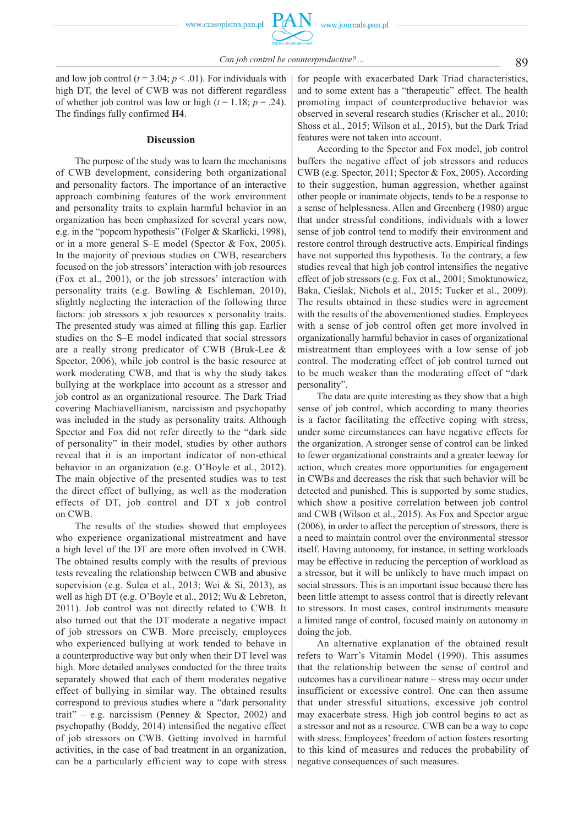89 *Can job control be counterproductive?…*

and low job control ( $t = 3.04$ ;  $p < .01$ ). For individuals with high DT, the level of CWB was not different regardless of whether job control was low or high  $(t = 1.18; p = .24)$ . The findings fully confirmed **H4**.

#### **Discussion**

The purpose of the study was to learn the mechanisms of CWB development, considering both organizational and personality factors. The importance of an interactive approach combining features of the work environment and personality traits to explain harmful behavior in an organization has been emphasized for several years now, e.g. in the "popcorn hypothesis" (Folger & Skarlicki, 1998), or in a more general S–E model (Spector & Fox, 2005). In the majority of previous studies on CWB, researchers focused on the job stressors' interaction with job resources (Fox et al., 2001), or the job stressors' interaction with personality traits (e.g. Bowling & Eschleman, 2010), slightly neglecting the interaction of the following three factors: job stressors x job resources x personality traits. The presented study was aimed at filling this gap. Earlier studies on the S–E model indicated that social stressors are a really strong predicator of CWB (Bruk-Lee & Spector, 2006), while job control is the basic resource at work moderating CWB, and that is why the study takes bullying at the workplace into account as a stressor and job control as an organizational resource. The Dark Triad covering Machiavellianism, narcissism and psychopathy was included in the study as personality traits. Although Spector and Fox did not refer directly to the "dark side of personality" in their model, studies by other authors reveal that it is an important indicator of non-ethical behavior in an organization (e.g. O'Boyle et al., 2012). The main objective of the presented studies was to test the direct effect of bullying, as well as the moderation effects of DT, job control and DT x job control on CWB.

The results of the studies showed that employees who experience organizational mistreatment and have a high level of the DT are more often involved in CWB. The obtained results comply with the results of previous tests revealing the relationship between CWB and abusive supervision (e.g. Sulea et al., 2013; Wei & Si, 2013), as well as high DT (e.g. O'Boyle et al., 2012; Wu & Lebreton, 2011). Job control was not directly related to CWB. It also turned out that the DT moderate a negative impact of job stressors on CWB. More precisely, employees who experienced bullying at work tended to behave in a counterproductive way but only when their DT level was high. More detailed analyses conducted for the three traits separately showed that each of them moderates negative effect of bullying in similar way. The obtained results correspond to previous studies where a "dark personality trait" – e.g. narcissism (Penney & Spector, 2002) and psychopathy (Boddy, 2014) intensified the negative effect of job stressors on CWB. Getting involved in harmful activities, in the case of bad treatment in an organization, can be a particularly efficient way to cope with stress

for people with exacerbated Dark Triad characteristics, and to some extent has a "therapeutic" effect. The health promoting impact of counterproductive behavior was observed in several research studies (Krischer et al., 2010; Shoss et al., 2015; Wilson et al., 2015), but the Dark Triad features were not taken into account.

According to the Spector and Fox model, job control buffers the negative effect of job stressors and reduces CWB (e.g. Spector, 2011; Spector & Fox, 2005). According to their suggestion, human aggression, whether against other people or inanimate objects, tends to be a response to a sense of helplessness. Allen and Greenberg (1980) argue that under stressful conditions, individuals with a lower sense of job control tend to modify their environment and restore control through destructive acts. Empirical findings have not supported this hypothesis. To the contrary, a few studies reveal that high job control intensifies the negative effect of job stressors (e.g. Fox et al., 2001; Smoktunowicz, Baka, Cieślak, Nichols et al., 2015; Tucker et al., 2009). The results obtained in these studies were in agreement with the results of the abovementioned studies. Employees with a sense of job control often get more involved in organizationally harmful behavior in cases of organizational mistreatment than employees with a low sense of job control. The moderating effect of job control turned out to be much weaker than the moderating effect of "dark personality".

The data are quite interesting as they show that a high sense of job control, which according to many theories is a factor facilitating the effective coping with stress, under some circumstances can have negative effects for the organization. A stronger sense of control can be linked to fewer organizational constraints and a greater leeway for action, which creates more opportunities for engagement in CWBs and decreases the risk that such behavior will be detected and punished. This is supported by some studies, which show a positive correlation between job control and CWB (Wilson et al., 2015). As Fox and Spector argue (2006), in order to affect the perception of stressors, there is a need to maintain control over the environmental stressor itself. Having autonomy, for instance, in setting workloads may be effective in reducing the perception of workload as a stressor, but it will be unlikely to have much impact on social stressors. This is an important issue because there has been little attempt to assess control that is directly relevant to stressors. In most cases, control instruments measure a limited range of control, focused mainly on autonomy in doing the job.

An alternative explanation of the obtained result refers to Warr's Vitamin Model (1990). This assumes that the relationship between the sense of control and outcomes has a curvilinear nature – stress may occur under insufficient or excessive control. One can then assume that under stressful situations, excessive job control may exacerbate stress. High job control begins to act as a stressor and not as a resource. CWB can be a way to cope with stress. Employees' freedom of action fosters resorting to this kind of measures and reduces the probability of negative consequences of such measures.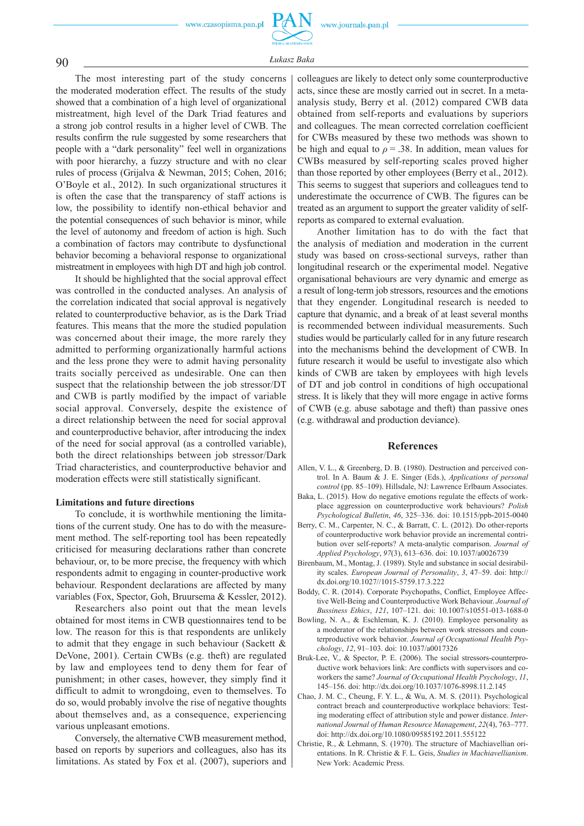

90 *<sup>Ł</sup>ukasz Baka*

The most interesting part of the study concerns the moderated moderation effect. The results of the study showed that a combination of a high level of organizational mistreatment, high level of the Dark Triad features and a strong job control results in a higher level of CWB. The results confirm the rule suggested by some researchers that people with a "dark personality" feel well in organizations with poor hierarchy, a fuzzy structure and with no clear rules of process (Grijalva & Newman, 2015; Cohen, 2016; O'Boyle et al., 2012). In such organizational structures it is often the case that the transparency of staff actions is low, the possibility to identify non-ethical behavior and the potential consequences of such behavior is minor, while the level of autonomy and freedom of action is high. Such a combination of factors may contribute to dysfunctional behavior becoming a behavioral response to organizational mistreatment in employees with high DT and high job control.

It should be highlighted that the social approval effect was controlled in the conducted analyses. An analysis of the correlation indicated that social approval is negatively related to counterproductive behavior, as is the Dark Triad features. This means that the more the studied population was concerned about their image, the more rarely they admitted to performing organizationally harmful actions and the less prone they were to admit having personality traits socially perceived as undesirable. One can then suspect that the relationship between the job stressor/DT and CWB is partly modified by the impact of variable social approval. Conversely, despite the existence of a direct relationship between the need for social approval and counterproductive behavior, after introducing the index of the need for social approval (as a controlled variable), both the direct relationships between job stressor/Dark Triad characteristics, and counterproductive behavior and moderation effects were still statistically significant.

#### **Limitations and future directions**

To conclude, it is worthwhile mentioning the limitations of the current study. One has to do with the measurement method. The self-reporting tool has been repeatedly criticised for measuring declarations rather than concrete behaviour, or, to be more precise, the frequency with which respondents admit to engaging in counter-productive work behaviour. Respondent declarations are affected by many variables (Fox, Spector, Goh, Bruursema & Kessler, 2012).

Researchers also point out that the mean levels obtained for most items in CWB questionnaires tend to be low. The reason for this is that respondents are unlikely to admit that they engage in such behaviour (Sackett & DeVone, 2001). Certain CWBs (e.g. theft) are regulated by law and employees tend to deny them for fear of punishment; in other cases, however, they simply find it difficult to admit to wrongdoing, even to themselves. To do so, would probably involve the rise of negative thoughts about themselves and, as a consequence, experiencing various unpleasant emotions.

Conversely, the alternative CWB measurement method, based on reports by superiors and colleagues, also has its limitations. As stated by Fox et al. (2007), superiors and

colleagues are likely to detect only some counterproductive acts, since these are mostly carried out in secret. In a metaanalysis study, Berry et al. (2012) compared CWB data obtained from self-reports and evaluations by superiors and colleagues. The mean corrected correlation coefficient for CWBs measured by these two methods was shown to be high and equal to  $\rho = .38$ . In addition, mean values for CWBs measured by self-reporting scales proved higher than those reported by other employees (Berry et al., 2012). This seems to suggest that superiors and colleagues tend to underestimate the occurrence of CWB. The figures can be treated as an argument to support the greater validity of selfreports as compared to external evaluation.

Another limitation has to do with the fact that the analysis of mediation and moderation in the current study was based on cross-sectional surveys, rather than longitudinal research or the experimental model. Negative organisational behaviours are very dynamic and emerge as a result of long-term job stressors, resources and the emotions that they engender. Longitudinal research is needed to capture that dynamic, and a break of at least several months is recommended between individual measurements. Such studies would be particularly called for in any future research into the mechanisms behind the development of CWB. In future research it would be useful to investigate also which kinds of CWB are taken by employees with high levels of DT and job control in conditions of high occupational stress. It is likely that they will more engage in active forms of CWB (e.g. abuse sabotage and theft) than passive ones (e.g. withdrawal and production deviance).

# **References**

- Allen, V. L., & Greenberg, D. B. (1980). Destruction and perceived control. In A. Baum & J. E. Singer (Eds.), *Applications of personal control* (pp. 85–109). Hillsdale, NJ: Lawrence Erlbaum Associates.
- Baka, L. (2015). How do negative emotions regulate the effects of workplace aggression on counterproductive work behaviours? *Polish Psychological Bulletin*, *46*, 325–336. doi: 10.1515/ppb-2015-0040
- Berry, C. M., Carpenter, N. C., & Barratt, C. L. (2012). Do other-reports of counterproductive work behavior provide an incremental contribution over self-reports? A meta-analytic comparison. *Journal of Applied Psychology*, *97*(3), 613–636. doi: 10.1037/a0026739
- Birenbaum, M., Montag, J. (1989). Style and substance in social desirability scales. *European Journal of Personality*, *3*, 47–59. doi: http:// dx.doi.org/10.1027//1015-5759.17.3.222
- Boddy, C. R. (2014). Corporate Psychopaths, Conflict, Employee Affective Well-Being and Counterproductive Work Behaviour. *Journal of Bussiness Ethics*, *121*, 107–121. doi: 10.1007/s10551-013-1688-0
- Bowling, N. A., & Eschleman, K. J. (2010). Employee personality as a moderator of the relationships between work stressors and counterproductive work behavior. *Journal of Occupational Health Psychology*, *12*, 91–103. doi: 10.1037/a0017326
- Bruk-Lee, V., & Spector, P. E. (2006). The social stressors-counterproductive work behaviors link: Are conflicts with supervisors and coworkers the same? *Journal of Occupational Health Psychology*, *11*, 145–156. doi: http://dx.doi.org/10.1037/1076-8998.11.2.145
- Chao, J. M. C., Cheung, F. Y. L., & Wu, A. M. S. (2011). Psychological contract breach and counterproductive workplace behaviors: Testing moderating effect of attribution style and power distance. *International Journal of Human Resource Management*, *22*(4), 763–777. doi: http://dx.doi.org/10.1080/09585192.2011.555122
- Christie, R., & Lehmann, S. (1970). The structure of Machiavellian orientations. In R. Christie & F. L. Geis, *Studies in Machiavellianism*. New York: Academic Press.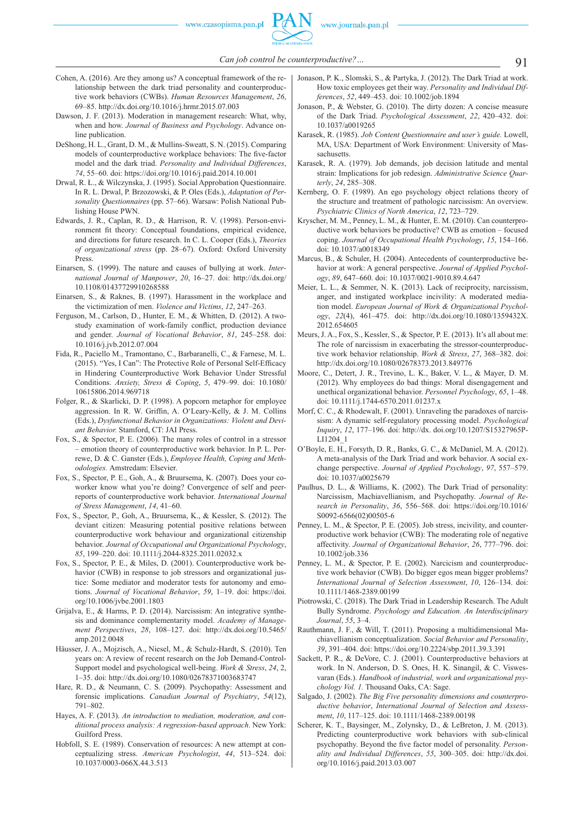- Cohen, A. (2016). Are they among us? A conceptual framework of the relationship between the dark triad personality and counterproductive work behaviors (CWBs). *Human Resources Management*, *26*, 69–85. http://dx.doi.org/10.1016/j.hrmr.2015.07.003
- Dawson, J. F. (2013). Moderation in management research: What, why, when and how. *Journal of Business and Psychology*. Advance online publication.
- DeShong, H. L., Grant, D. M., & Mullins-Sweatt, S. N. (2015). Comparing models of counterproductive workplace behaviors: The five-factor model and the dark triad. *Personality and Individual Differences*, *74*, 55–60. doi: https://doi.org/10.1016/j.paid.2014.10.001
- Drwal, R. Ł., & Wilczynska, J. (1995). Social Approbation Questionnaire. In R. L. Drwal, P. Brzozowski, & P. Oles (Eds.), *Adaptation of Personality Questionnaires* (pp. 57–66). Warsaw: Polish National Publishing House PWN.
- Edwards, J. R., Caplan, R. D., & Harrison, R. V. (1998). Person-environment fit theory: Conceptual foundations, empirical evidence, and directions for future research. In C. L. Cooper (Eds.), *Theories of organizational stress* (pp. 28–67). Oxford: Oxford University Press.
- Einarsen, S. (1999). The nature and causes of bullying at work. *International Journal of Manpower*, *20*, 16–27. doi: http://dx.doi.org/ 10.1108/01437729910268588
- Einarsen, S., & Raknes, B. (1997). Harassment in the workplace and the victimization of men. *Violence and Victims*, *12*, 247–263.
- Ferguson, M., Carlson, D., Hunter, E. M., & Whitten, D. (2012). A twostudy examination of work-family conflict, production deviance and gender. *Journal of Vocational Behavior*, *81*, 245–258. doi: 10.1016/j.jvb.2012.07.004
- Fida, R., Paciello M., Tramontano, C., Barbaranelli, C., & Farnese, M. L. (2015). "Yes, I Can": The Protective Role of Personal Self-Efficacy in Hindering Counterproductive Work Behavior Under Stressful Conditions. *Anxiety, Stress & Coping*, *5*, 479–99. doi: 10.1080/ 10615806.2014.969718
- Folger, R., & Skarlicki, D. P. (1998). A popcorn metaphor for employee aggression. In R. W. Griffin, A. O'Leary-Kelly, & J. M. Collins (Eds.), *Dysfunctional Behavior in Organizations: Violent and Deviant Behavior.* Stamford, CT: JAI Press.
- Fox, S., & Spector, P. E. (2006). The many roles of control in a stressor – emotion theory of counterproductive work behavior. In P. L. Perrewe, D. & C. Ganster (Eds.), *Employee Health, Coping and Methodologies.* Amstredam: Elsevier.
- Fox, S., Spector, P. E., Goh, A., & Bruursema, K. (2007). Does your coworker know what you're doing? Convergence of self and peerreports of counterproductive work behavior. *International Journal of Stress Management*, *14*, 41–60.
- Fox, S., Spector, P., Goh, A., Bruursema, K., & Kessler, S. (2012). The deviant citizen: Measuring potential positive relations between counterproductive work behaviour and organizational citizenship behavior. *Journal of Occupational and Organizational Psychology*, *85*, 199–220. doi: 10.1111/j.2044-8325.2011.02032.x
- Fox, S., Spector, P. E., & Miles, D. (2001). Counterproductive work behavior (CWB) in response to job stressors and organizational justice: Some mediator and moderator tests for autonomy and emotions. *Journal of Vocational Behavior*, *59*, 1–19. doi: https://doi. org/10.1006/jvbe.2001.1803
- Grijalva, E., & Harms, P. D. (2014). Narcissism: An integrative synthesis and dominance complementarity model. *Academy of Management Perspectives*, *28*, 108–127. doi: http://dx.doi.org/10.5465/ amp.2012.0048
- Häusser, J. A., Mojzisch, A., Niesel, M., & Schulz-Hardt, S. (2010). Ten years on: A review of recent research on the Job Demand-Control-Support model and psychological well-being. *Work & Stress*, *24*, 2, 1–35. doi: http://dx.doi.org/10.1080/02678371003683747
- Hare, R. D., & Neumann, C. S. (2009). Psychopathy: Assessment and forensic implications. *Canadian Journal of Psychiatry*, *54*(12), 791–802.
- Hayes, A. F. (2013). *An introduction to mediation, moderation, and conditional process analysis: A regression-based approach*. New York: Guilford Press.
- Hobfoll, S. E. (1989). Conservation of resources: A new attempt at conceptualizing stress. *American Psychologist*, *44*, 513–524. doi: 10.1037/0003-066X.44.3.513
- Jonason, P. K., Slomski, S., & Partyka, J. (2012). The Dark Triad at work. How toxic employees get their way. *Personality and Individual Differences*, *52*, 449–453. doi: 10.1002/job.1894
- Jonason, P., & Webster, G. (2010). The dirty dozen: A concise measure of the Dark Triad. *Psychological Assessment*, *22*, 420–432. doi: 10.1037/a0019265
- Karasek, R. (1985). *Job Content Questionnaire and user's guide.* Lowell, MA, USA: Department of Work Environment: University of Massachusetts.
- Karasek, R. A. (1979). Job demands, job decision latitude and mental strain: Implications for job redesign. *Administrative Science Quarterly*, *24*, 285–308.
- Kernberg, O. F. (1989). An ego psychology object relations theory of the structure and treatment of pathologic narcissism: An overview. *Psychiatric Clinics of North America*, *12*, 723–729.
- Kryscher, M. M., Penney, L. M., & Hunter, E. M. (2010). Can counterproductive work behaviors be productive? CWB as emotion – focused coping. *Journal of Occupational Health Psychology*, *15*, 154–166. doi: 10.1037/a0018349
- Marcus, B., & Schuler, H. (2004). Antecedents of counterproductive behavior at work: A general perspective. *Journal of Applied Psychology*, *89*, 647–660. doi: 10.1037/0021-9010.89.4.647
- Meier, L. L., & Semmer, N. K. (2013). Lack of reciprocity, narcissism, anger, and instigated workplace incivility: A moderated mediation model. *European Journal of Work & Organizational Psychology*, *22*(4), 461–475. doi: http://dx.doi.org/10.1080/1359432X. 2012.654605
- Meurs, J. A., Fox, S., Kessler, S., & Spector, P. E. (2013). It's all about me: The role of narcissism in exacerbating the stressor-counterproductive work behavior relationship. *Work & Stress*, *27*, 368–382. doi: http://dx.doi.org/10.1080/02678373.2013.849776
- Moore, C., Detert, J. R., Trevino, L. K., Baker, V. L., & Mayer, D. M. (2012). Why employees do bad things: Moral disengagement and unethical organizational behavior. *Personnel Psychology*, *65*, 1–48. doi: 10.1111/j.1744-6570.2011.01237.x
- Morf, C. C., & Rhodewalt, F. (2001). Unraveling the paradoxes of narcissism: A dynamic self-regulatory processing model. *Psychological Inquiry*, *12*, 177–196. doi: http://dx. doi.org/10.1207/S15327965P-LI1204\_1
- O'Boyle, E. H., Forsyth, D. R., Banks, G. C., & McDaniel, M. A. (2012). A meta-analysis of the Dark Triad and work behavior. A social exchange perspective. *Journal of Applied Psychology*, *97*, 557–579. doi: 10.1037/a0025679
- Paulhus, D. L., & Williams, K. (2002). The Dark Triad of personality: Narcissism, Machiavellianism, and Psychopathy. *Journal of Research in Personality*, *36*, 556–568. doi: https://doi.org/10.1016/ S0092-6566(02)00505-6
- Penney, L. M., & Spector, P. E. (2005). Job stress, incivility, and counterproductive work behavior (CWB): The moderating role of negative affectivity. *Journal of Organizational Behavior*, *26*, 777–796. doi: 10.1002/job.336
- Penney, L. M., & Spector, P. E. (2002). Narcicism and counterproductive work behavior (CWB). Do bigger egos mean bigger problems? *International Journal of Selection Assessment*, *10*, 126–134. doi: 10.1111/1468-2389.00199
- Piotrowski, C. (2018). The Dark Triad in Leadership Research. The Adult Bully Syndrome. *Psychology and Education. An Interdisciplinary Journal*, *55*, 3–4.
- Rauthmann, J. F., & Will, T. (2011). Proposing a multidimensional Machiavellianism conceptualization. *Social Behavior and Personality*, *39*, 391–404. doi: https://doi.org/10.2224/sbp.2011.39.3.391
- Sackett, P. R., & DeVore, C. J. (2001). Counterproductive behaviors at work. In N. Anderson, D. S. Ones, H. K. Sinangil, & C. Viswesvaran (Eds.). *Handbook of industrial, work and organizational psychology Vol. 1.* Thousand Oaks, CA: Sage.
- Salgado, J. (2002). *The Big Five personality dimensions and counterproductive behavior*, *International Journal of Selection and Assessment*, *10*, 117–125. doi: 10.1111/1468-2389.00198
- Scherer, K. T., Baysinger, M., Zolynsky, D., & LeBreton, J. M. (2013). Predicting counterproductive work behaviors with sub-clinical psychopathy. Beyond the five factor model of personality. Person*ality and Individual Differences*, *55*, 300–305. doi: http://dx.doi. org/10.1016/j.paid.2013.03.007